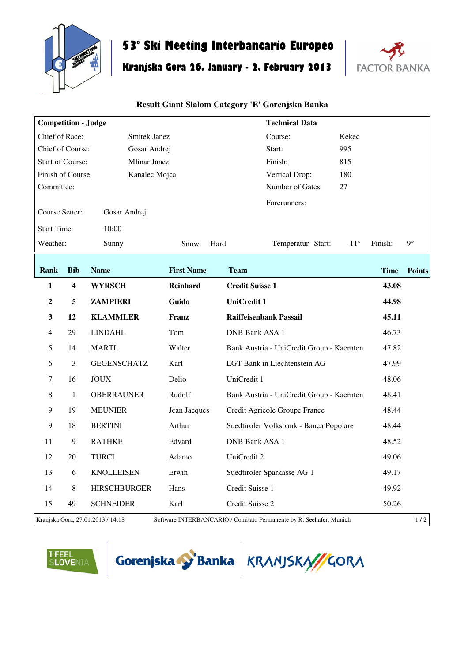

## **53° Ski Meeting Interbancario Europeo**

## **Kranjska Gora 26. January - 2. February 2013**



## **Result Giant Slalom Category 'E' Gorenjska Banka**

| <b>Competition - Judge</b>                     |            |                                   | <b>Technical Data</b> |                                                                     |                              |
|------------------------------------------------|------------|-----------------------------------|-----------------------|---------------------------------------------------------------------|------------------------------|
| Chief of Race:<br>Smitek Janez                 |            |                                   | Course:<br>Kekec      |                                                                     |                              |
| Chief of Course:<br>Gosar Andrej               |            |                                   | 995<br>Start:         |                                                                     |                              |
| <b>Start of Course:</b><br><b>Mlinar Janez</b> |            |                                   |                       | Finish:<br>815                                                      |                              |
| Finish of Course:<br>Kanalec Mojca             |            |                                   |                       | 180<br>Vertical Drop:                                               |                              |
| Committee:                                     |            |                                   |                       | Number of Gates:<br>27                                              |                              |
| Course Setter:<br>Gosar Andrej                 |            |                                   |                       | Forerunners:                                                        |                              |
| <b>Start Time:</b><br>10:00                    |            |                                   |                       |                                                                     |                              |
| Weather:                                       |            | Sunny                             | Snow:                 | $-11^{\circ}$<br>Hard<br>Temperatur Start:                          | $-9^\circ$<br>Finish:        |
| Rank                                           | <b>Bib</b> | <b>Name</b>                       | <b>First Name</b>     | <b>Team</b>                                                         | <b>Time</b><br><b>Points</b> |
| 1                                              | 4          | <b>WYRSCH</b>                     | Reinhard              | <b>Credit Suisse 1</b>                                              | 43.08                        |
| $\boldsymbol{2}$                               | 5          | <b>ZAMPIERI</b>                   | Guido                 | <b>UniCredit 1</b>                                                  | 44.98                        |
| $\mathbf{3}$                                   | 12         | <b>KLAMMLER</b>                   | Franz                 | <b>Raiffeisenbank Passail</b>                                       | 45.11                        |
| 4                                              | 29         | <b>LINDAHL</b>                    | Tom                   | <b>DNB Bank ASA 1</b>                                               | 46.73                        |
| 5                                              | 14         | <b>MARTL</b>                      | Walter                | Bank Austria - UniCredit Group - Kaernten                           | 47.82                        |
| 6                                              | 3          | <b>GEGENSCHATZ</b>                | Karl                  | LGT Bank in Liechtenstein AG                                        | 47.99                        |
| $\overline{7}$                                 | 16         | <b>JOUX</b>                       | Delio                 | UniCredit 1                                                         | 48.06                        |
| 8                                              | 1          | <b>OBERRAUNER</b>                 | Rudolf                | Bank Austria - UniCredit Group - Kaernten                           | 48.41                        |
| $\boldsymbol{9}$                               | 19         | <b>MEUNIER</b>                    | Jean Jacques          | Credit Agricole Groupe France                                       | 48.44                        |
| $\boldsymbol{9}$                               | 18         | <b>BERTINI</b>                    | Arthur                | Suedtiroler Volksbank - Banca Popolare                              | 48.44                        |
| 11                                             | 9          | <b>RATHKE</b>                     | Edvard                | <b>DNB Bank ASA 1</b>                                               | 48.52                        |
| 12                                             | 20         | <b>TURCI</b>                      | Adamo                 | UniCredit 2                                                         | 49.06                        |
| 13                                             | 6          | <b>KNOLLEISEN</b>                 | Erwin                 | Suedtiroler Sparkasse AG 1                                          | 49.17                        |
| 14                                             | $\,8\,$    | <b>HIRSCHBURGER</b>               | Hans                  | Credit Suisse 1                                                     | 49.92                        |
| 15                                             | 49         | <b>SCHNEIDER</b>                  | Karl                  | Credit Suisse 2                                                     | 50.26                        |
|                                                |            | Kranjska Gora, 27.01.2013 / 14:18 |                       | Software INTERBANCARIO / Comitato Permanente by R. Seehafer, Munich | 1/2                          |